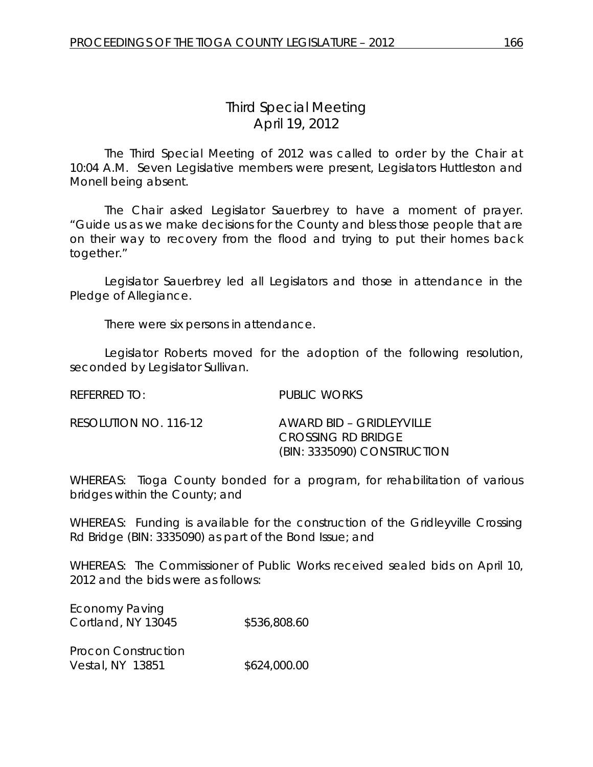## *Third Special Meeting* April 19, 2012

The Third Special Meeting of 2012 was called to order by the Chair at 10:04 A.M. Seven Legislative members were present, Legislators Huttleston and Monell being absent.

The Chair asked Legislator Sauerbrey to have a moment of prayer. "Guide us as we make decisions for the County and bless those people that are on their way to recovery from the flood and trying to put their homes back together."

Legislator Sauerbrey led all Legislators and those in attendance in the Pledge of Allegiance.

There were six persons in attendance.

Legislator Roberts moved for the adoption of the following resolution, seconded by Legislator Sullivan.

| referred to:          | PUBLIC WORKS                                                                          |
|-----------------------|---------------------------------------------------------------------------------------|
| RESOLUTION NO. 116-12 | AWARD BID – GRIDI EYVILLE<br><b>CROSSING RD BRIDGE</b><br>(BIN: 3335090) CONSTRUCTION |

WHEREAS: Tioga County bonded for a program, for rehabilitation of various bridges within the County; and

WHEREAS: Funding is available for the construction of the Gridleyville Crossing Rd Bridge (BIN: 3335090) as part of the Bond Issue; and

WHEREAS: The Commissioner of Public Works received sealed bids on April 10, 2012 and the bids were as follows:

| <b>Economy Paving</b> |              |
|-----------------------|--------------|
| Cortland, NY 13045    | \$536,808.60 |
|                       |              |

Procon Construction Vestal, NY 13851 \$624,000.00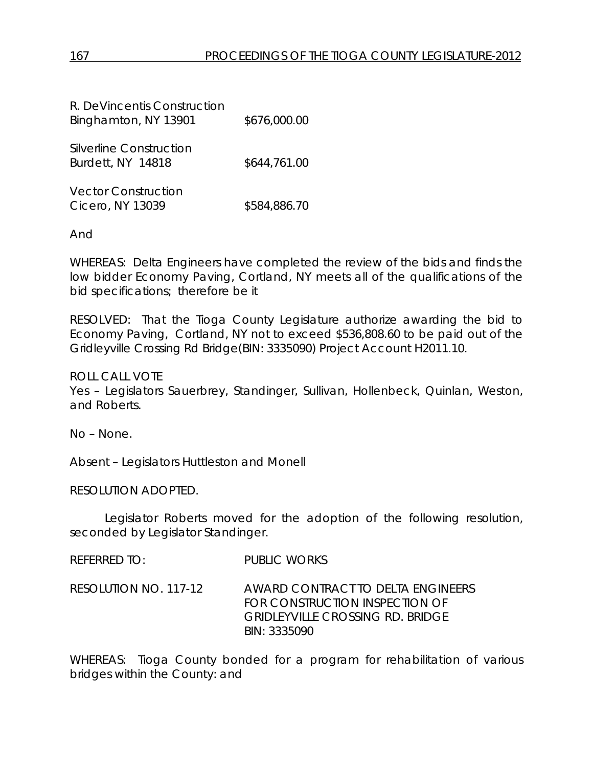| R. DeVincentis Construction<br>Binghamton, NY 13901 | \$676,000.00 |
|-----------------------------------------------------|--------------|
| Silverline Construction<br>Burdett, NY 14818        | \$644,761.00 |
| <b>Vector Construction</b><br>Cicero, NY 13039      | \$584,886.70 |

And

WHEREAS: Delta Engineers have completed the review of the bids and finds the low bidder Economy Paving, Cortland, NY meets all of the qualifications of the bid specifications; therefore be it

RESOLVED: That the Tioga County Legislature authorize awarding the bid to Economy Paving, Cortland, NY not to exceed \$536,808.60 to be paid out of the Gridleyville Crossing Rd Bridge(BIN: 3335090) Project Account H2011.10.

ROLL CALL VOTE

Yes – Legislators Sauerbrey, Standinger, Sullivan, Hollenbeck, Quinlan, Weston, and Roberts.

No – None.

Absent – Legislators Huttleston and Monell

RESOLUTION ADOPTED.

Legislator Roberts moved for the adoption of the following resolution, seconded by Legislator Standinger.

REFERRED TO: PUBLIC WORKS

RESOLUTION NO. 117-12 *AWARD CONTRACT TO DELTA ENGINEERS FOR CONSTRUCTION INSPECTION OF GRIDLEYVILLE CROSSING RD. BRIDGE BIN: 3335090*

WHEREAS: Tioga County bonded for a program for rehabilitation of various bridges within the County: and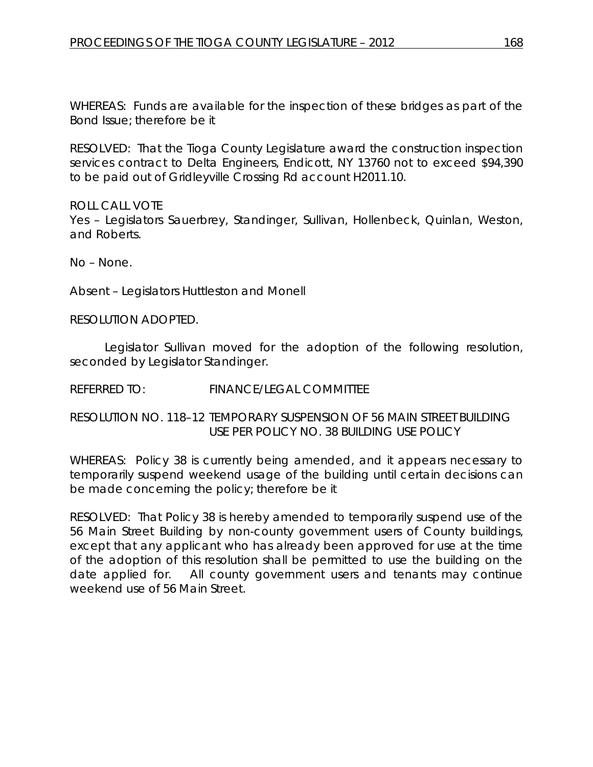WHEREAS: Funds are available for the inspection of these bridges as part of the Bond Issue; therefore be it

RESOLVED: That the Tioga County Legislature award the construction inspection services contract to Delta Engineers, Endicott, NY 13760 not to exceed \$94,390 to be paid out of Gridleyville Crossing Rd account H2011.10.

ROLL CALL VOTE Yes – Legislators Sauerbrey, Standinger, Sullivan, Hollenbeck, Quinlan, Weston, and Roberts.

No – None.

Absent – Legislators Huttleston and Monell

RESOLUTION ADOPTED.

Legislator Sullivan moved for the adoption of the following resolution, seconded by Legislator Standinger.

REFERRED TO: FINANCE/LEGAL COMMITTEE

RESOLUTION NO. 118–12 *TEMPORARY SUSPENSION OF 56 MAIN STREET BUILDING USE PER POLICY NO. 38 BUILDING USE POLICY*

WHEREAS: Policy 38 is currently being amended, and it appears necessary to temporarily suspend weekend usage of the building until certain decisions can be made concerning the policy; therefore be it

RESOLVED: That Policy 38 is hereby amended to temporarily suspend use of the 56 Main Street Building by non-county government users of County buildings, except that any applicant who has already been approved for use at the time of the adoption of this resolution shall be permitted to use the building on the date applied for. All county government users and tenants may continue weekend use of 56 Main Street.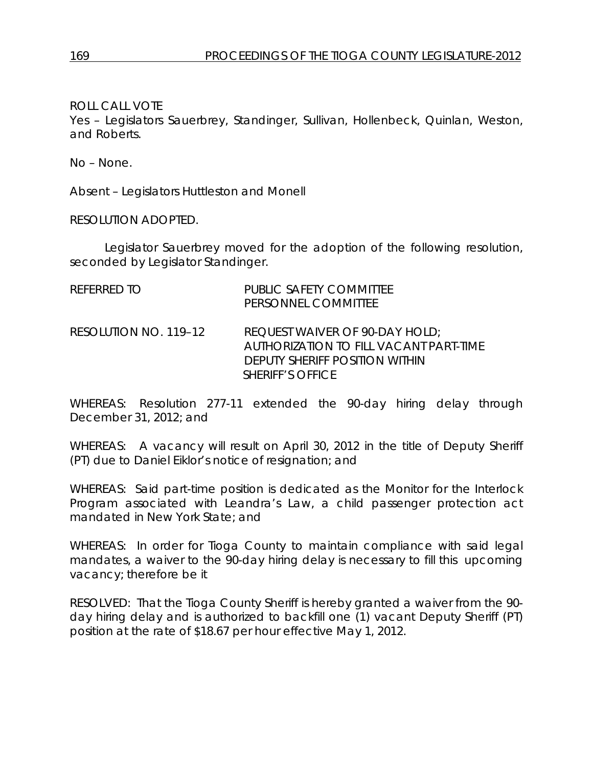ROLL CALL VOTE

Yes – Legislators Sauerbrey, Standinger, Sullivan, Hollenbeck, Quinlan, Weston, and Roberts.

No – None.

Absent – Legislators Huttleston and Monell

RESOLUTION ADOPTED.

Legislator Sauerbrey moved for the adoption of the following resolution, seconded by Legislator Standinger.

| REFERRED TO           | PUBLIC SAFETY COMMITTEE<br>PERSONNEL COMMITTEE                                                                                               |
|-----------------------|----------------------------------------------------------------------------------------------------------------------------------------------|
| RESOLUTION NO. 119–12 | <b>REQUEST WAIVER OF 90-DAY HOLD;</b><br>AUTHORIZATION TO FILL VACANT PART-TIME<br>DEPUTY SHERIFF POSITION WITHIN<br><b>SHERIFF'S OFFICE</b> |

WHEREAS: Resolution 277-11 extended the 90-day hiring delay through December 31, 2012; and

WHEREAS: A vacancy will result on April 30, 2012 in the title of Deputy Sheriff (PT) due to Daniel Eiklor's notice of resignation; and

WHEREAS: Said part-time position is dedicated as the Monitor for the Interlock Program associated with Leandra's Law, a child passenger protection act mandated in New York State; and

WHEREAS: In order for Tioga County to maintain compliance with said legal mandates, a waiver to the 90-day hiring delay is necessary to fill this upcoming vacancy; therefore be it

RESOLVED: That the Tioga County Sheriff is hereby granted a waiver from the 90 day hiring delay and is authorized to backfill one (1) vacant Deputy Sheriff (PT) position at the rate of \$18.67 per hour effective May 1, 2012.